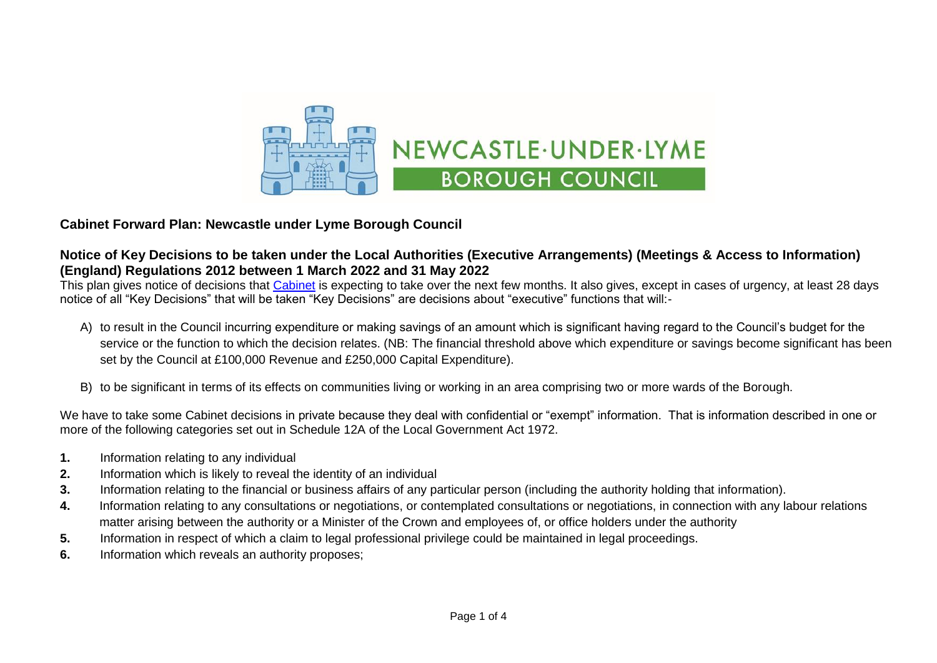

## **Cabinet Forward Plan: Newcastle under Lyme Borough Council**

## **Notice of Key Decisions to be taken under the Local Authorities (Executive Arrangements) (Meetings & Access to Information) (England) Regulations 2012 between 1 March 2022 and 31 May 2022**

This plan gives notice of decisions that [Cabinet](https://moderngov.newcastle-staffs.gov.uk/mgCommitteeDetails.aspx?ID=118) is expecting to take over the next few months. It also gives, except in cases of urgency, at least 28 days notice of all "Key Decisions" that will be taken "Key Decisions" are decisions about "executive" functions that will:-

- A) to result in the Council incurring expenditure or making savings of an amount which is significant having regard to the Council's budget for the service or the function to which the decision relates. (NB: The financial threshold above which expenditure or savings become significant has been set by the Council at £100,000 Revenue and £250,000 Capital Expenditure).
- B) to be significant in terms of its effects on communities living or working in an area comprising two or more wards of the Borough.

We have to take some Cabinet decisions in private because they deal with confidential or "exempt" information. That is information described in one or more of the following categories set out in Schedule 12A of the Local Government Act 1972.

- **1.** Information relating to any individual
- **2.** Information which is likely to reveal the identity of an individual
- **3.** Information relating to the financial or business affairs of any particular person (including the authority holding that information).
- **4.** Information relating to any consultations or negotiations, or contemplated consultations or negotiations, in connection with any labour relations matter arising between the authority or a Minister of the Crown and employees of, or office holders under the authority
- **5.** Information in respect of which a claim to legal professional privilege could be maintained in legal proceedings.
- **6.** Information which reveals an authority proposes;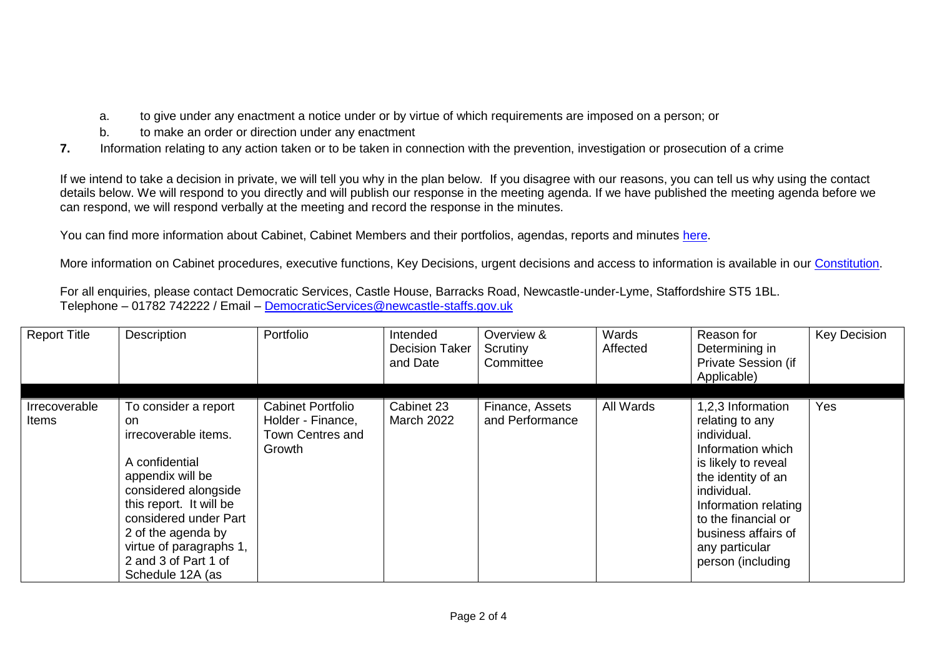- a. to give under any enactment a notice under or by virtue of which requirements are imposed on a person; or
- b. to make an order or direction under any enactment
- **7.** Information relating to any action taken or to be taken in connection with the prevention, investigation or prosecution of a crime

If we intend to take a decision in private, we will tell you why in the plan below. If you disagree with our reasons, you can tell us why using the contact details below. We will respond to you directly and will publish our response in the meeting agenda. If we have published the meeting agenda before we can respond, we will respond verbally at the meeting and record the response in the minutes.

You can find more information about Cabinet, Cabinet Members and their portfolios, agendas, reports and minutes [here.](https://moderngov.newcastle-staffs.gov.uk/mgCommitteeDetails.aspx?ID=118)

More information on Cabinet procedures, executive functions, Key Decisions, urgent decisions and access to information is available in our [Constitution.](https://moderngov.newcastle-staffs.gov.uk/ieListMeetings.aspx?CommitteeID=443&info=1&bcr=1)

For all enquiries, please contact Democratic Services, Castle House, Barracks Road, Newcastle-under-Lyme, Staffordshire ST5 1BL. Telephone – 01782 742222 / Email – [DemocraticServices@newcastle-staffs.gov.uk](mailto:DemocraticServices@newcastle-staffs.gov.uk)

| <b>Report Title</b>    | Description                                                                                                                                                                                                                                                        | Portfolio                                                                   | Intended<br><b>Decision Taker</b><br>and Date | Overview &<br>Scrutiny<br>Committee | Wards<br>Affected | Reason for<br>Determining in<br>Private Session (if<br>Applicable)                                                                                                                                                                                | <b>Key Decision</b> |
|------------------------|--------------------------------------------------------------------------------------------------------------------------------------------------------------------------------------------------------------------------------------------------------------------|-----------------------------------------------------------------------------|-----------------------------------------------|-------------------------------------|-------------------|---------------------------------------------------------------------------------------------------------------------------------------------------------------------------------------------------------------------------------------------------|---------------------|
| Irrecoverable<br>ltems | To consider a report<br>on.<br>irrecoverable items.<br>A confidential<br>appendix will be<br>considered alongside<br>this report. It will be<br>considered under Part<br>2 of the agenda by<br>virtue of paragraphs 1,<br>2 and 3 of Part 1 of<br>Schedule 12A (as | <b>Cabinet Portfolio</b><br>Holder - Finance,<br>Town Centres and<br>Growth | Cabinet 23<br><b>March 2022</b>               | Finance, Assets<br>and Performance  | All Wards         | 1,2,3 Information<br>relating to any<br>individual.<br>Information which<br>is likely to reveal<br>the identity of an<br>individual.<br>Information relating<br>to the financial or<br>business affairs of<br>any particular<br>person (including | Yes                 |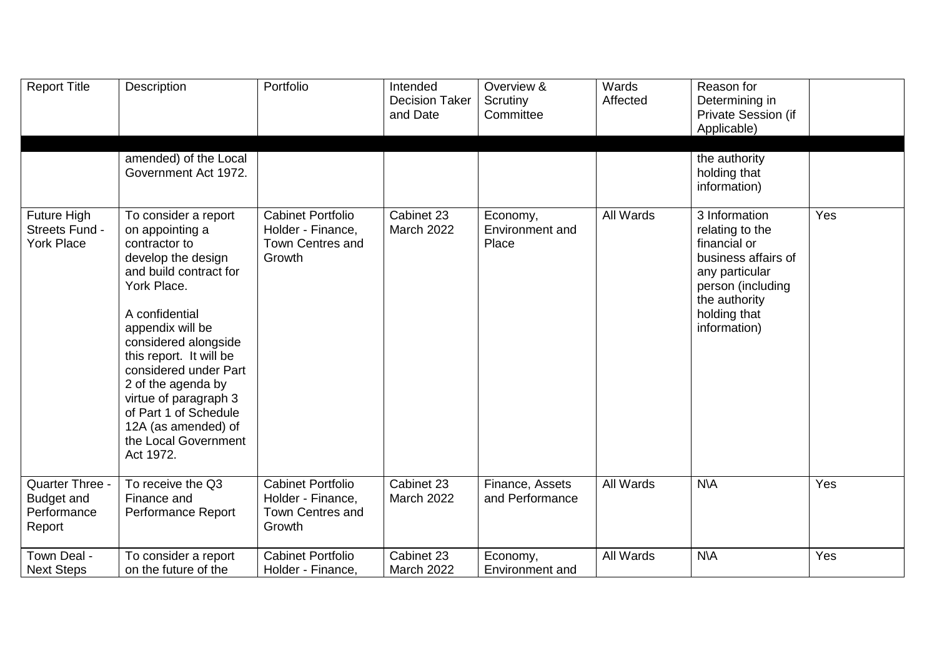| <b>Report Title</b>                                       | Description                                                                                                                                                                                                                                                                                                                                                                   | Portfolio                                                                          | Intended<br><b>Decision Taker</b><br>and Date | Overview &<br>Scrutiny<br>Committee  | Wards<br>Affected | Reason for<br>Determining in<br>Private Session (if<br>Applicable)                                                                                              |     |
|-----------------------------------------------------------|-------------------------------------------------------------------------------------------------------------------------------------------------------------------------------------------------------------------------------------------------------------------------------------------------------------------------------------------------------------------------------|------------------------------------------------------------------------------------|-----------------------------------------------|--------------------------------------|-------------------|-----------------------------------------------------------------------------------------------------------------------------------------------------------------|-----|
|                                                           | amended) of the Local<br>Government Act 1972.                                                                                                                                                                                                                                                                                                                                 |                                                                                    |                                               |                                      |                   | the authority<br>holding that<br>information)                                                                                                                   |     |
| <b>Future High</b><br>Streets Fund -<br><b>York Place</b> | To consider a report<br>on appointing a<br>contractor to<br>develop the design<br>and build contract for<br>York Place.<br>A confidential<br>appendix will be<br>considered alongside<br>this report. It will be<br>considered under Part<br>2 of the agenda by<br>virtue of paragraph 3<br>of Part 1 of Schedule<br>12A (as amended) of<br>the Local Government<br>Act 1972. | <b>Cabinet Portfolio</b><br>Holder - Finance,<br>Town Centres and<br>Growth        | Cabinet 23<br><b>March 2022</b>               | Economy,<br>Environment and<br>Place | <b>All Wards</b>  | 3 Information<br>relating to the<br>financial or<br>business affairs of<br>any particular<br>person (including<br>the authority<br>holding that<br>information) | Yes |
| Quarter Three -<br>Budget and<br>Performance<br>Report    | To receive the Q3<br>Finance and<br>Performance Report                                                                                                                                                                                                                                                                                                                        | <b>Cabinet Portfolio</b><br>Holder - Finance,<br><b>Town Centres and</b><br>Growth | Cabinet 23<br><b>March 2022</b>               | Finance, Assets<br>and Performance   | All Wards         | <b>N\A</b>                                                                                                                                                      | Yes |
| Town Deal -<br><b>Next Steps</b>                          | To consider a report<br>on the future of the                                                                                                                                                                                                                                                                                                                                  | <b>Cabinet Portfolio</b><br>Holder - Finance,                                      | Cabinet 23<br><b>March 2022</b>               | Economy,<br>Environment and          | All Wards         | $N\setminus A$                                                                                                                                                  | Yes |